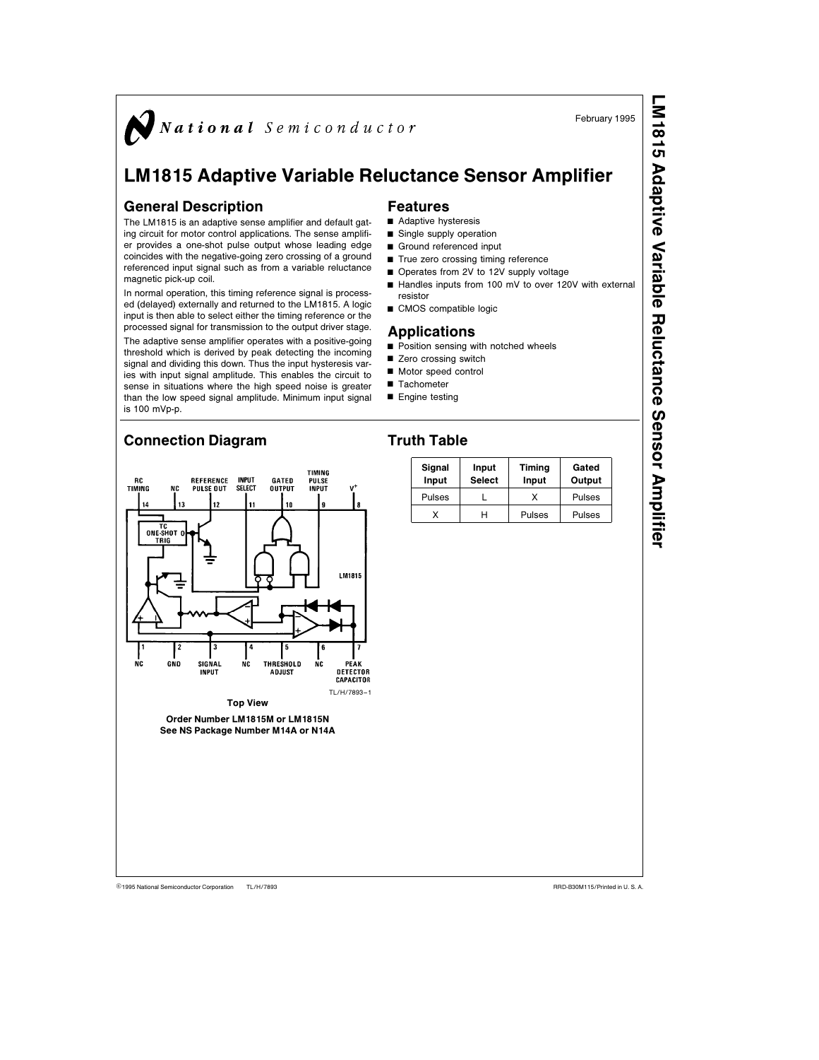

# LM1815 Adaptive Variable Reluctance Sensor Amplifier

## General Description

The LM1815 is an adaptive sense amplifier and default gating circuit for motor control applications. The sense amplifier provides a one-shot pulse output whose leading edge coincides with the negative-going zero crossing of a ground referenced input signal such as from a variable reluctance magnetic pick-up coil.

In normal operation, this timing reference signal is processed (delayed) externally and returned to the LM1815. A logic input is then able to select either the timing reference or the processed signal for transmission to the output driver stage.

The adaptive sense amplifier operates with a positive-going threshold which is derived by peak detecting the incoming signal and dividing this down. Thus the input hysteresis varies with input signal amplitude. This enables the circuit to sense in situations where the high speed noise is greater than the low speed signal amplitude. Minimum input signal is 100 mVp-p.

## Connection Diagram

### **TIMING** RC<br>Timing REFERENCE **INPUT**<br>Select **GATED<br>OUTPUT PULSE**<br>INPUT PULSE OUT  $\overline{14}$  $13$ 44 44  $\ddot{\phantom{a}}$ ONE-SHOT ( TRII LM1815 SIGNAL<br>INPUT NC GÑO **THRESHOLD NC** DETECTOR **ADJUST** CAPACITOR TL/H/7893 –1 Top View Order Number LM1815M or LM1815N See NS Package Number M14A or N14A

February 1995

## Features

- $\blacksquare$  Adaptive hysteresis
- $\blacksquare$  Single supply operation
- Ground referenced input
- $\blacksquare$  True zero crossing timing reference
- Operates from 2V to 12V supply voltage
- Handles inputs from 100 mV to over 120V with external resistor
- CMOS compatible logic

#### Applications

- $\blacksquare$  Position sensing with notched wheels
- Zero crossing switch
- Motor speed control
- $\blacksquare$  Tachometer
- $\blacksquare$  Engine testing
- 

# Truth Table

| Signal<br>Input | Input<br><b>Select</b> | Timing<br>Input | Gated<br>Output |
|-----------------|------------------------|-----------------|-----------------|
| Pulses          |                        |                 | Pulses          |
|                 |                        | Pulses          | Pulses          |

TL/H/7893

C1995 National Semiconductor Corporation TL/H/7893 **National Semiconductor Corporation RRD-B30M115/Printed in U. S. A.** 

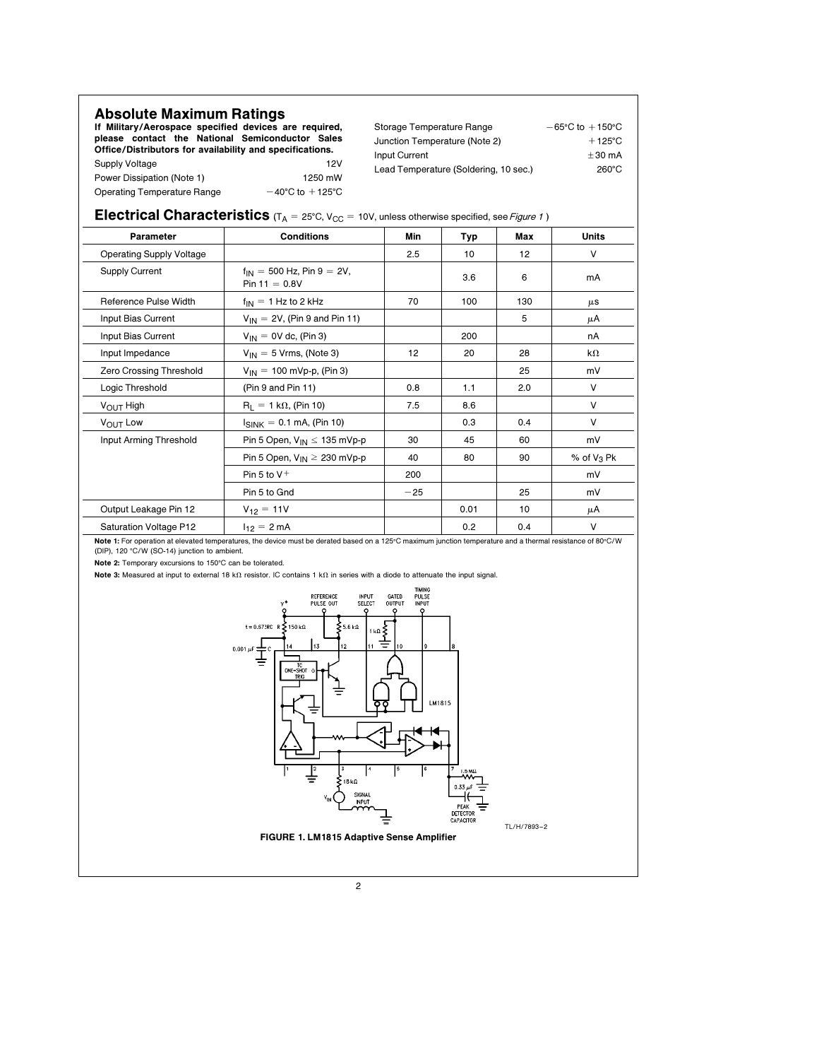| <b>Absolute Maximum Ratings</b>                                                                          |                                     | Storage Temperature Range             | $-65^{\circ}$ C to $+150^{\circ}$ C |
|----------------------------------------------------------------------------------------------------------|-------------------------------------|---------------------------------------|-------------------------------------|
| If Military/Aerospace specified devices are required,<br>please contact the National Semiconductor Sales |                                     |                                       | $+125^{\circ}$ C                    |
| Office/Distributors for availability and specifications.                                                 |                                     | Junction Temperature (Note 2)         |                                     |
| Supply Voltage                                                                                           | 12V                                 | Input Current                         | $+30 \text{ mA}$                    |
| Power Dissipation (Note 1)                                                                               | 1250 mW                             | Lead Temperature (Soldering, 10 sec.) | $260^{\circ}$ C                     |
| Operating Temperature Range                                                                              | $-40^{\circ}$ C to $+125^{\circ}$ C |                                       |                                     |

|  | <b>Electrical Characteristics</b> ( $T_A$ = 25°C, $V_{CC}$ = 10V, unless otherwise specified, see Figure 1) |  |
|--|-------------------------------------------------------------------------------------------------------------|--|
|--|-------------------------------------------------------------------------------------------------------------|--|

| Parameter                       | <b>Conditions</b>                                    | Min   | <b>Typ</b> | Max | <b>Units</b>  |
|---------------------------------|------------------------------------------------------|-------|------------|-----|---------------|
| <b>Operating Supply Voltage</b> |                                                      | 2.5   | 10         | 12  | V             |
| <b>Supply Current</b>           | $f_{IN} = 500$ Hz, Pin $9 = 2V$ ,<br>Pin $11 = 0.8V$ |       | 3.6        | 6   | mA            |
| Reference Pulse Width           | $f_{IN} = 1$ Hz to 2 kHz                             | 70    | 100        | 130 | $\mu$ S       |
| Input Bias Current              | $V_{IN} = 2V$ , (Pin 9 and Pin 11)                   |       |            | 5   | μA            |
| Input Bias Current              | $V_{1N} = 0V$ dc, (Pin 3)                            |       | 200        |     | nA            |
| Input Impedance                 | $V_{IN} = 5$ Vrms, (Note 3)                          | 12    | 20         | 28  | k $\Omega$    |
| Zero Crossing Threshold         | $V_{IN} = 100$ mVp-p, (Pin 3)                        |       |            | 25  | mV            |
| Logic Threshold                 | (Pin 9 and Pin 11)                                   | 0.8   | 1.1        | 2.0 | V             |
| $V_{\text{OUT}}$ High           | $R_1 = 1 k\Omega$ , (Pin 10)                         | 7.5   | 8.6        |     | V             |
| VOUT LOW                        | $I_{\text{SINK}} = 0.1 \text{ mA}$ , (Pin 10)        |       | 0.3        | 0.4 | V             |
| Input Arming Threshold          | Pin 5 Open, $V_{IN} \le 135$ mVp-p                   | 30    | 45         | 60  | mV            |
|                                 | Pin 5 Open, $V_{IN} \geq 230$ mVp-p                  | 40    | 80         | 90  | % of $V_3$ Pk |
|                                 | Pin 5 to $V^+$                                       | 200   |            |     | mV            |
|                                 | Pin 5 to Gnd                                         | $-25$ |            | 25  | mV            |
| Output Leakage Pin 12           | $V_{12} = 11V$                                       |       | 0.01       | 10  | μA            |
| Saturation Voltage P12          | $I_{12} = 2 \text{ mA}$                              |       | 0.2        | 0.4 | $\vee$        |

**Note 1:** For operation at elevated temperatures, the device must be derated based on a 125℃ maximum junction temperature and a thermal resistance of 80℃/W<br>(DIP), 120 °C/W (SO-14) junction to ambient.

Note 2: Temporary excursions to 150°C can be tolerated.

Note 3: Measured at input to external 18 k $\Omega$  resistor. IC contains 1 k $\Omega$  in series with a diode to attenuate the input signal.

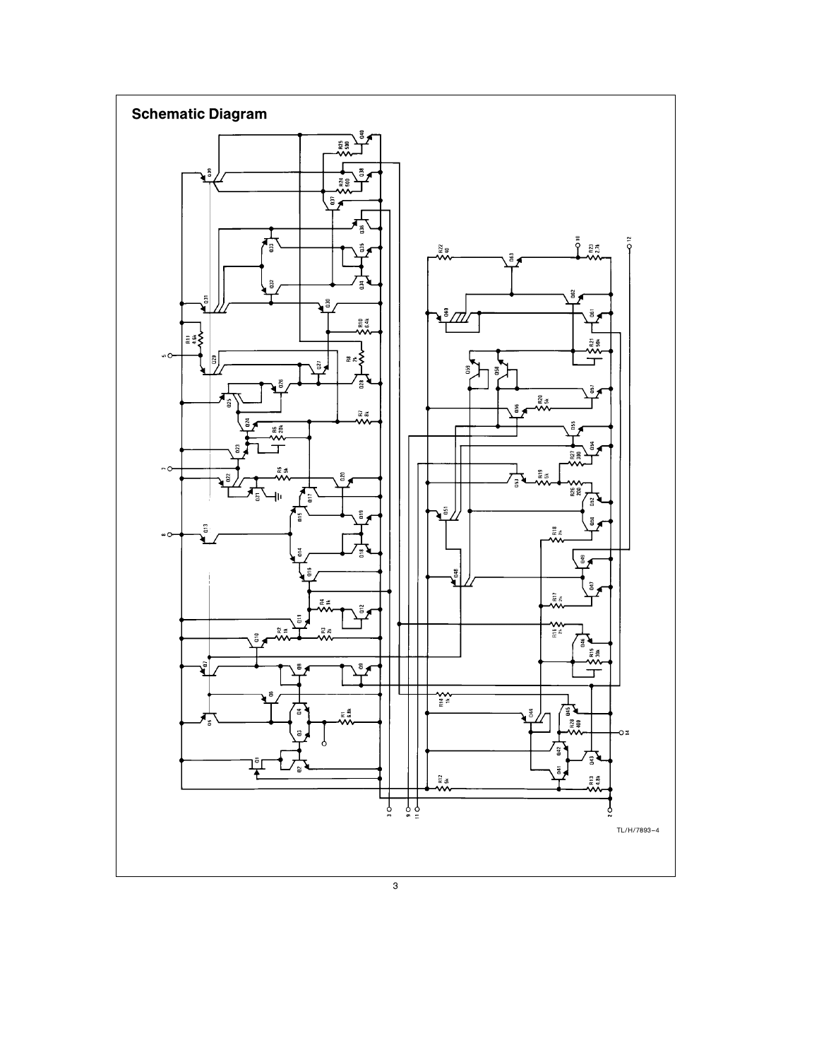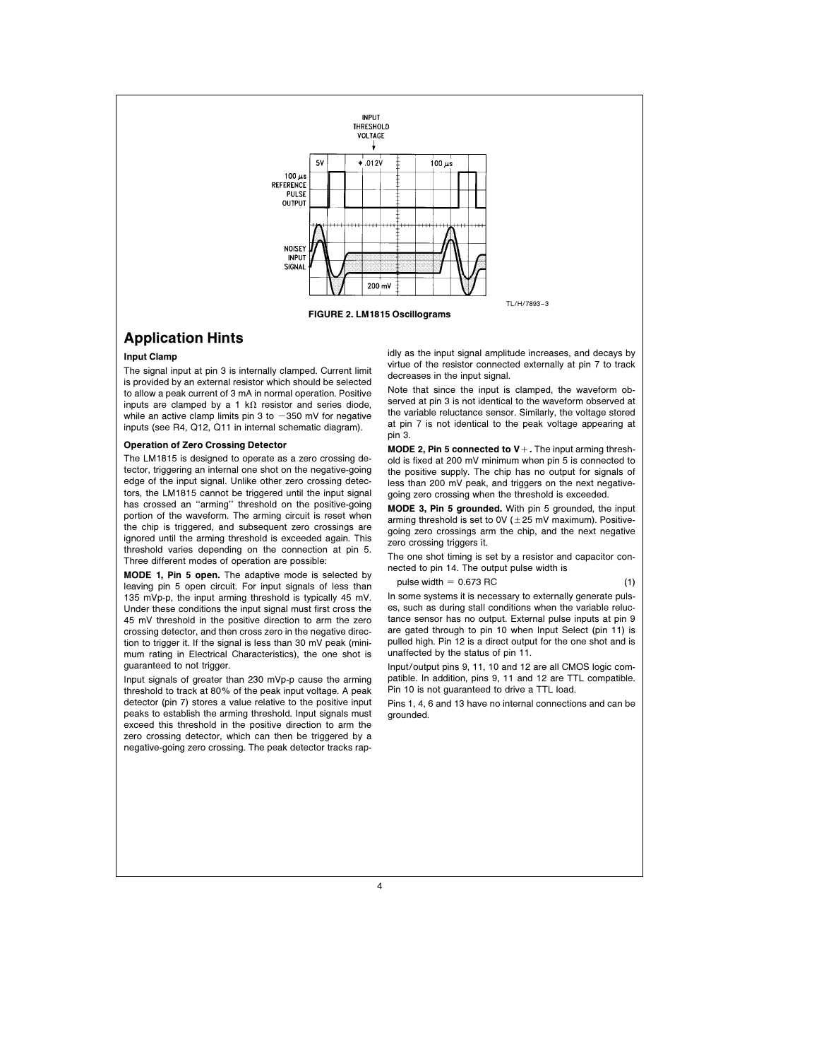

### Application Hints

#### Input Clamp

The signal input at pin 3 is internally clamped. Current limit is provided by an external resistor which should be selected to allow a peak current of 3 mA in normal operation. Positive inputs are clamped by a 1 k $\Omega$  resistor and series diode, while an active clamp limits pin 3 to  $-350$  mV for negative inputs (see R4, Q12, Q11 in internal schematic diagram).

#### Operation of Zero Crossing Detector

The LM1815 is designed to operate as a zero crossing detector, triggering an internal one shot on the negative-going edge of the input signal. Unlike other zero crossing detectors, the LM1815 cannot be triggered until the input signal has crossed an ''arming'' threshold on the positive-going portion of the waveform. The arming circuit is reset when the chip is triggered, and subsequent zero crossings are ignored until the arming threshold is exceeded again. This threshold varies depending on the connection at pin 5. Three different modes of operation are possible:

MODE 1, Pin 5 open. The adaptive mode is selected by leaving pin 5 open circuit. For input signals of less than 135 mVp-p, the input arming threshold is typically 45 mV. Under these conditions the input signal must first cross the 45 mV threshold in the positive direction to arm the zero crossing detector, and then cross zero in the negative direction to trigger it. If the signal is less than 30 mV peak (minimum rating in Electrical Characteristics), the one shot is guaranteed to not trigger.

Input signals of greater than 230 mVp-p cause the arming threshold to track at 80% of the peak input voltage. A peak detector (pin 7) stores a value relative to the positive input peaks to establish the arming threshold. Input signals must exceed this threshold in the positive direction to arm the zero crossing detector, which can then be triggered by a negative-going zero crossing. The peak detector tracks rapidly as the input signal amplitude increases, and decays by virtue of the resistor connected externally at pin 7 to track decreases in the input signal.

Note that since the input is clamped, the waveform observed at pin 3 is not identical to the waveform observed at the variable reluctance sensor. Similarly, the voltage stored at pin 7 is not identical to the peak voltage appearing at pin 3.

MODE 2, Pin 5 connected to  $V +$ . The input arming threshold is fixed at 200 mV minimum when pin 5 is connected to the positive supply. The chip has no output for signals of less than 200 mV peak, and triggers on the next negativegoing zero crossing when the threshold is exceeded.

MODE 3, Pin 5 grounded. With pin 5 grounded, the input arming threshold is set to 0V ( $\pm$ 25 mV maximum). Positivegoing zero crossings arm the chip, and the next negative zero crossing triggers it.

The one shot timing is set by a resistor and capacitor connected to pin 14. The output pulse width is

pulse width  $= 0.673$  RC (1)

In some systems it is necessary to externally generate pulses, such as during stall conditions when the variable reluctance sensor has no output. External pulse inputs at pin 9 are gated through to pin 10 when Input Select (pin 11) is pulled high. Pin 12 is a direct output for the one shot and is unaffected by the status of pin 11.

Input/output pins 9, 11, 10 and 12 are all CMOS logic compatible. In addition, pins 9, 11 and 12 are TTL compatible. Pin 10 is not guaranteed to drive a TTL load.

Pins 1, 4, 6 and 13 have no internal connections and can be grounded.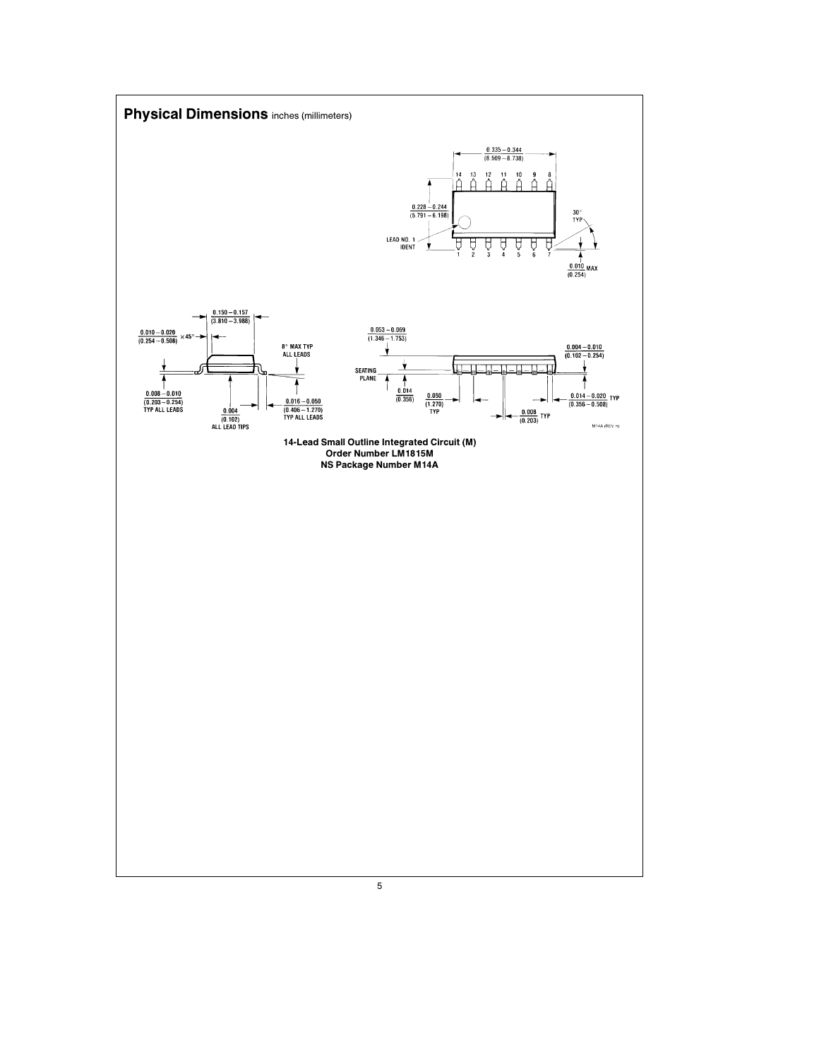